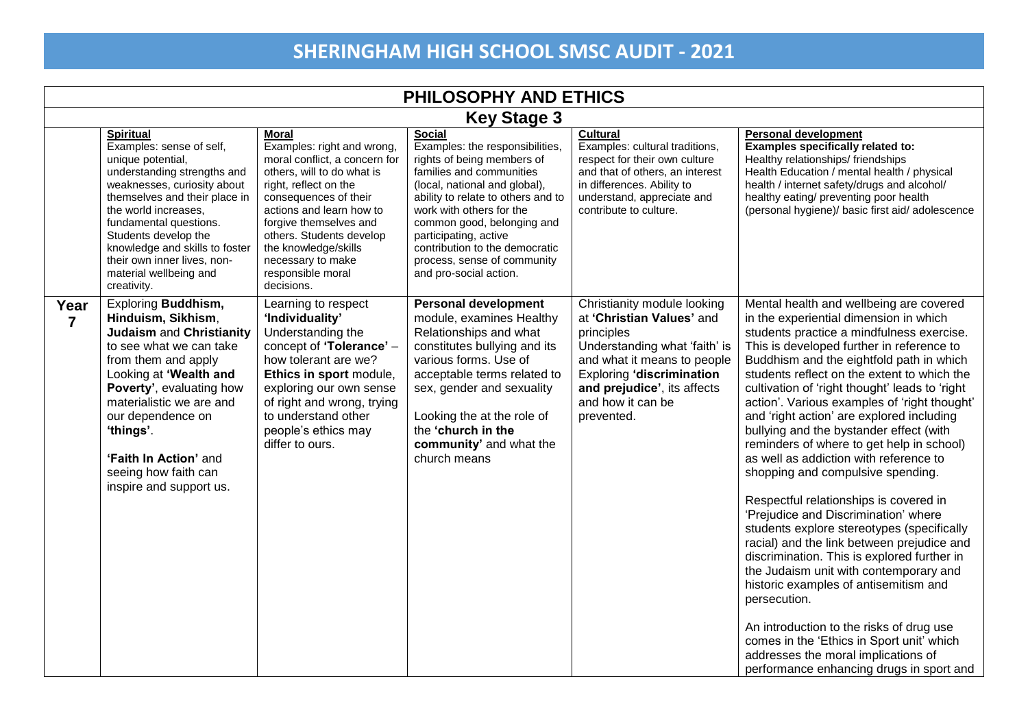| PHILOSOPHY AND ETHICS  |                                                                                                                                                                                                                                                                                                                                                      |                                                                                                                                                                                                                                                                                                                               |                                                                                                                                                                                                                                                                                                                                                          |                                                                                                                                                                                                                                              |                                                                                                                                                                                                                                                                                                                                                                                                                                                                                                                                                                                                                                                                                                                                                                                                                                                                                                                                                                                                                                                                                                          |  |
|------------------------|------------------------------------------------------------------------------------------------------------------------------------------------------------------------------------------------------------------------------------------------------------------------------------------------------------------------------------------------------|-------------------------------------------------------------------------------------------------------------------------------------------------------------------------------------------------------------------------------------------------------------------------------------------------------------------------------|----------------------------------------------------------------------------------------------------------------------------------------------------------------------------------------------------------------------------------------------------------------------------------------------------------------------------------------------------------|----------------------------------------------------------------------------------------------------------------------------------------------------------------------------------------------------------------------------------------------|----------------------------------------------------------------------------------------------------------------------------------------------------------------------------------------------------------------------------------------------------------------------------------------------------------------------------------------------------------------------------------------------------------------------------------------------------------------------------------------------------------------------------------------------------------------------------------------------------------------------------------------------------------------------------------------------------------------------------------------------------------------------------------------------------------------------------------------------------------------------------------------------------------------------------------------------------------------------------------------------------------------------------------------------------------------------------------------------------------|--|
|                        | <b>Key Stage 3</b>                                                                                                                                                                                                                                                                                                                                   |                                                                                                                                                                                                                                                                                                                               |                                                                                                                                                                                                                                                                                                                                                          |                                                                                                                                                                                                                                              |                                                                                                                                                                                                                                                                                                                                                                                                                                                                                                                                                                                                                                                                                                                                                                                                                                                                                                                                                                                                                                                                                                          |  |
|                        | <b>Spiritual</b><br>Examples: sense of self,<br>unique potential,<br>understanding strengths and<br>weaknesses, curiosity about<br>themselves and their place in<br>the world increases,<br>fundamental questions.<br>Students develop the<br>knowledge and skills to foster<br>their own inner lives, non-<br>material wellbeing and<br>creativity. | <b>Moral</b><br>Examples: right and wrong,<br>moral conflict, a concern for<br>others, will to do what is<br>right, reflect on the<br>consequences of their<br>actions and learn how to<br>forgive themselves and<br>others. Students develop<br>the knowledge/skills<br>necessary to make<br>responsible moral<br>decisions. | Social<br>Examples: the responsibilities,<br>rights of being members of<br>families and communities<br>(local, national and global),<br>ability to relate to others and to<br>work with others for the<br>common good, belonging and<br>participating, active<br>contribution to the democratic<br>process, sense of community<br>and pro-social action. | <b>Cultural</b><br>Examples: cultural traditions,<br>respect for their own culture<br>and that of others, an interest<br>in differences. Ability to<br>understand, appreciate and<br>contribute to culture.                                  | <b>Personal development</b><br>Examples specifically related to:<br>Healthy relationships/friendships<br>Health Education / mental health / physical<br>health / internet safety/drugs and alcohol/<br>healthy eating/ preventing poor health<br>(personal hygiene)/ basic first aid/ adolescence                                                                                                                                                                                                                                                                                                                                                                                                                                                                                                                                                                                                                                                                                                                                                                                                        |  |
| Year<br>$\overline{7}$ | <b>Exploring Buddhism,</b><br>Hinduism, Sikhism,<br><b>Judaism and Christianity</b><br>to see what we can take<br>from them and apply<br>Looking at 'Wealth and<br>Poverty', evaluating how<br>materialistic we are and<br>our dependence on<br>'things'.<br>'Faith In Action' and<br>seeing how faith can<br>inspire and support us.                | Learning to respect<br>'Individuality'<br>Understanding the<br>concept of 'Tolerance' -<br>how tolerant are we?<br>Ethics in sport module,<br>exploring our own sense<br>of right and wrong, trying<br>to understand other<br>people's ethics may<br>differ to ours.                                                          | <b>Personal development</b><br>module, examines Healthy<br>Relationships and what<br>constitutes bullying and its<br>various forms. Use of<br>acceptable terms related to<br>sex, gender and sexuality<br>Looking the at the role of<br>the 'church in the<br>community' and what the<br>church means                                                    | Christianity module looking<br>at 'Christian Values' and<br>principles<br>Understanding what 'faith' is<br>and what it means to people<br><b>Exploring 'discrimination</b><br>and prejudice', its affects<br>and how it can be<br>prevented. | Mental health and wellbeing are covered<br>in the experiential dimension in which<br>students practice a mindfulness exercise.<br>This is developed further in reference to<br>Buddhism and the eightfold path in which<br>students reflect on the extent to which the<br>cultivation of 'right thought' leads to 'right<br>action'. Various examples of 'right thought'<br>and 'right action' are explored including<br>bullying and the bystander effect (with<br>reminders of where to get help in school)<br>as well as addiction with reference to<br>shopping and compulsive spending.<br>Respectful relationships is covered in<br>'Prejudice and Discrimination' where<br>students explore stereotypes (specifically<br>racial) and the link between prejudice and<br>discrimination. This is explored further in<br>the Judaism unit with contemporary and<br>historic examples of antisemitism and<br>persecution.<br>An introduction to the risks of drug use<br>comes in the 'Ethics in Sport unit' which<br>addresses the moral implications of<br>performance enhancing drugs in sport and |  |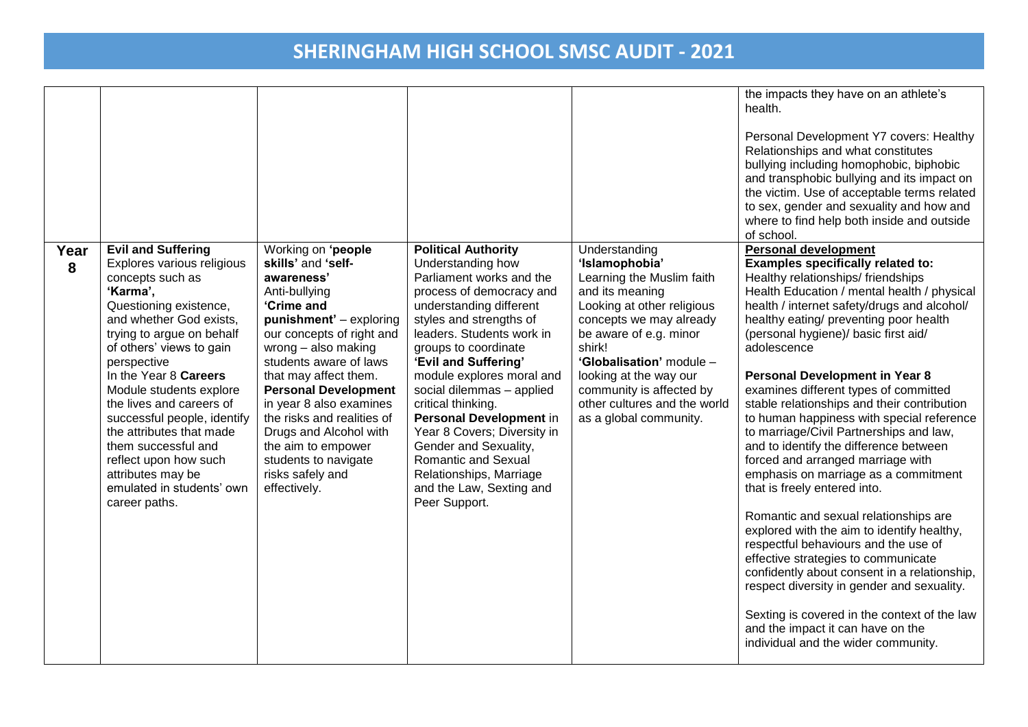|           |                                                                                                                                                                                                                                                                                                                                                                                                                                                                                    |                                                                                                                                                                                                                                                                                                                                                                                                                             |                                                                                                                                                                                                                                                                                                                                                                                                                                                                                                              |                                                                                                                                                                                                                                                                                                                          | the impacts they have on an athlete's<br>health.<br>Personal Development Y7 covers: Healthy<br>Relationships and what constitutes<br>bullying including homophobic, biphobic<br>and transphobic bullying and its impact on<br>the victim. Use of acceptable terms related<br>to sex, gender and sexuality and how and<br>where to find help both inside and outside<br>of school.                                                                                                                                                                                                                                                                                                                                                                                                                                                                                                                                                                                                                                                                                                     |
|-----------|------------------------------------------------------------------------------------------------------------------------------------------------------------------------------------------------------------------------------------------------------------------------------------------------------------------------------------------------------------------------------------------------------------------------------------------------------------------------------------|-----------------------------------------------------------------------------------------------------------------------------------------------------------------------------------------------------------------------------------------------------------------------------------------------------------------------------------------------------------------------------------------------------------------------------|--------------------------------------------------------------------------------------------------------------------------------------------------------------------------------------------------------------------------------------------------------------------------------------------------------------------------------------------------------------------------------------------------------------------------------------------------------------------------------------------------------------|--------------------------------------------------------------------------------------------------------------------------------------------------------------------------------------------------------------------------------------------------------------------------------------------------------------------------|---------------------------------------------------------------------------------------------------------------------------------------------------------------------------------------------------------------------------------------------------------------------------------------------------------------------------------------------------------------------------------------------------------------------------------------------------------------------------------------------------------------------------------------------------------------------------------------------------------------------------------------------------------------------------------------------------------------------------------------------------------------------------------------------------------------------------------------------------------------------------------------------------------------------------------------------------------------------------------------------------------------------------------------------------------------------------------------|
| Year<br>8 | <b>Evil and Suffering</b><br>Explores various religious<br>concepts such as<br>'Karma',<br>Questioning existence,<br>and whether God exists,<br>trying to argue on behalf<br>of others' views to gain<br>perspective<br>In the Year 8 Careers<br>Module students explore<br>the lives and careers of<br>successful people, identify<br>the attributes that made<br>them successful and<br>reflect upon how such<br>attributes may be<br>emulated in students' own<br>career paths. | Working on 'people<br>skills' and 'self-<br>awareness'<br>Anti-bullying<br>'Crime and<br>punishment' - exploring<br>our concepts of right and<br>wrong - also making<br>students aware of laws<br>that may affect them.<br><b>Personal Development</b><br>in year 8 also examines<br>the risks and realities of<br>Drugs and Alcohol with<br>the aim to empower<br>students to navigate<br>risks safely and<br>effectively. | <b>Political Authority</b><br>Understanding how<br>Parliament works and the<br>process of democracy and<br>understanding different<br>styles and strengths of<br>leaders. Students work in<br>groups to coordinate<br>'Evil and Suffering'<br>module explores moral and<br>social dilemmas - applied<br>critical thinking.<br>Personal Development in<br>Year 8 Covers; Diversity in<br>Gender and Sexuality,<br>Romantic and Sexual<br>Relationships, Marriage<br>and the Law, Sexting and<br>Peer Support. | Understanding<br>'Islamophobia'<br>Learning the Muslim faith<br>and its meaning<br>Looking at other religious<br>concepts we may already<br>be aware of e.g. minor<br>shirk!<br>'Globalisation' module -<br>looking at the way our<br>community is affected by<br>other cultures and the world<br>as a global community. | <b>Personal development</b><br>Examples specifically related to:<br>Healthy relationships/ friendships<br>Health Education / mental health / physical<br>health / internet safety/drugs and alcohol/<br>healthy eating/ preventing poor health<br>(personal hygiene)/ basic first aid/<br>adolescence<br><b>Personal Development in Year 8</b><br>examines different types of committed<br>stable relationships and their contribution<br>to human happiness with special reference<br>to marriage/Civil Partnerships and law,<br>and to identify the difference between<br>forced and arranged marriage with<br>emphasis on marriage as a commitment<br>that is freely entered into.<br>Romantic and sexual relationships are<br>explored with the aim to identify healthy,<br>respectful behaviours and the use of<br>effective strategies to communicate<br>confidently about consent in a relationship,<br>respect diversity in gender and sexuality.<br>Sexting is covered in the context of the law<br>and the impact it can have on the<br>individual and the wider community. |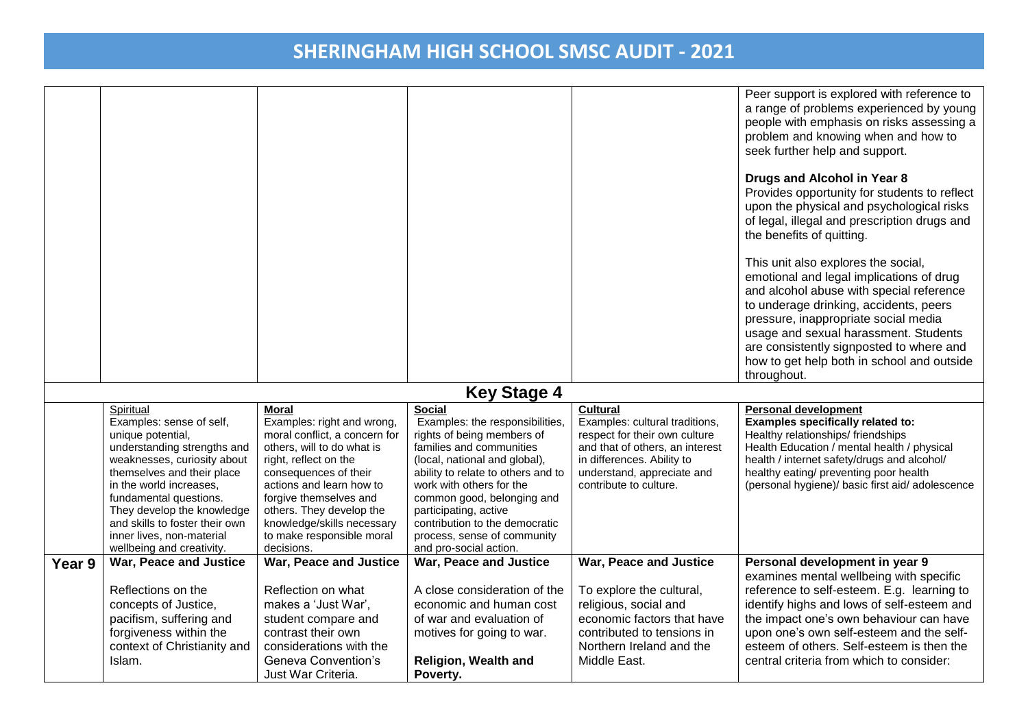|        |                                                                                                                                                                                                                                                                                                                                       |                                                                                                                                                                                                                                                                                                                 |                                                                                                                                                                                                                                                                                                                                                                 |                                                                                                                                                                                                             | Peer support is explored with reference to<br>a range of problems experienced by young<br>people with emphasis on risks assessing a<br>problem and knowing when and how to<br>seek further help and support.<br>Drugs and Alcohol in Year 8<br>Provides opportunity for students to reflect<br>upon the physical and psychological risks<br>of legal, illegal and prescription drugs and<br>the benefits of quitting.<br>This unit also explores the social,<br>emotional and legal implications of drug<br>and alcohol abuse with special reference<br>to underage drinking, accidents, peers<br>pressure, inappropriate social media<br>usage and sexual harassment. Students<br>are consistently signposted to where and<br>how to get help both in school and outside |
|--------|---------------------------------------------------------------------------------------------------------------------------------------------------------------------------------------------------------------------------------------------------------------------------------------------------------------------------------------|-----------------------------------------------------------------------------------------------------------------------------------------------------------------------------------------------------------------------------------------------------------------------------------------------------------------|-----------------------------------------------------------------------------------------------------------------------------------------------------------------------------------------------------------------------------------------------------------------------------------------------------------------------------------------------------------------|-------------------------------------------------------------------------------------------------------------------------------------------------------------------------------------------------------------|---------------------------------------------------------------------------------------------------------------------------------------------------------------------------------------------------------------------------------------------------------------------------------------------------------------------------------------------------------------------------------------------------------------------------------------------------------------------------------------------------------------------------------------------------------------------------------------------------------------------------------------------------------------------------------------------------------------------------------------------------------------------------|
|        |                                                                                                                                                                                                                                                                                                                                       |                                                                                                                                                                                                                                                                                                                 |                                                                                                                                                                                                                                                                                                                                                                 |                                                                                                                                                                                                             | throughout.                                                                                                                                                                                                                                                                                                                                                                                                                                                                                                                                                                                                                                                                                                                                                               |
|        |                                                                                                                                                                                                                                                                                                                                       |                                                                                                                                                                                                                                                                                                                 | <b>Key Stage 4</b>                                                                                                                                                                                                                                                                                                                                              |                                                                                                                                                                                                             |                                                                                                                                                                                                                                                                                                                                                                                                                                                                                                                                                                                                                                                                                                                                                                           |
|        | Spiritual<br>Examples: sense of self,<br>unique potential,<br>understanding strengths and<br>weaknesses, curiosity about<br>themselves and their place<br>in the world increases,<br>fundamental questions.<br>They develop the knowledge<br>and skills to foster their own<br>inner lives, non-material<br>wellbeing and creativity. | Moral<br>Examples: right and wrong,<br>moral conflict, a concern for<br>others, will to do what is<br>right, reflect on the<br>consequences of their<br>actions and learn how to<br>forgive themselves and<br>others. They develop the<br>knowledge/skills necessary<br>to make responsible moral<br>decisions. | <b>Social</b><br>Examples: the responsibilities,<br>rights of being members of<br>families and communities<br>(local, national and global),<br>ability to relate to others and to<br>work with others for the<br>common good, belonging and<br>participating, active<br>contribution to the democratic<br>process, sense of community<br>and pro-social action. | <b>Cultural</b><br>Examples: cultural traditions,<br>respect for their own culture<br>and that of others, an interest<br>in differences. Ability to<br>understand, appreciate and<br>contribute to culture. | <b>Personal development</b><br>Examples specifically related to:<br>Healthy relationships/friendships<br>Health Education / mental health / physical<br>health / internet safety/drugs and alcohol/<br>healthy eating/ preventing poor health<br>(personal hygiene)/ basic first aid/ adolescence                                                                                                                                                                                                                                                                                                                                                                                                                                                                         |
| Year 9 | War, Peace and Justice<br>Reflections on the<br>concepts of Justice,<br>pacifism, suffering and<br>forgiveness within the<br>context of Christianity and<br>Islam.                                                                                                                                                                    | War, Peace and Justice<br>Reflection on what<br>makes a 'Just War',<br>student compare and<br>contrast their own<br>considerations with the<br>Geneva Convention's<br>Just War Criteria.                                                                                                                        | War, Peace and Justice<br>A close consideration of the<br>economic and human cost<br>of war and evaluation of<br>motives for going to war.<br>Religion, Wealth and<br>Poverty.                                                                                                                                                                                  | War, Peace and Justice<br>To explore the cultural,<br>religious, social and<br>economic factors that have<br>contributed to tensions in<br>Northern Ireland and the<br>Middle East.                         | Personal development in year 9<br>examines mental wellbeing with specific<br>reference to self-esteem. E.g. learning to<br>identify highs and lows of self-esteem and<br>the impact one's own behaviour can have<br>upon one's own self-esteem and the self-<br>esteem of others. Self-esteem is then the<br>central criteria from which to consider:                                                                                                                                                                                                                                                                                                                                                                                                                     |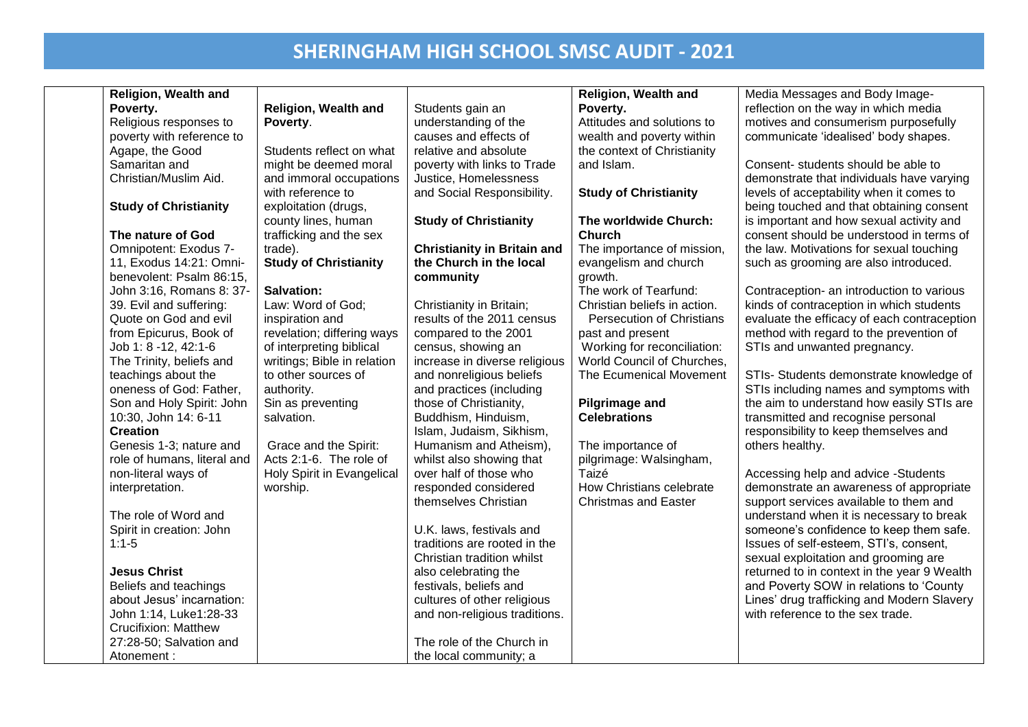| <b>Religion, Wealth and</b>             |                                                  |                                                    | <b>Religion, Wealth and</b>                  | Media Messages and Body Image-              |
|-----------------------------------------|--------------------------------------------------|----------------------------------------------------|----------------------------------------------|---------------------------------------------|
| Poverty.                                | <b>Religion, Wealth and</b>                      | Students gain an                                   | Poverty.                                     | reflection on the way in which media        |
| Religious responses to                  | Poverty.                                         | understanding of the                               | Attitudes and solutions to                   | motives and consumerism purposefully        |
| poverty with reference to               |                                                  | causes and effects of                              | wealth and poverty within                    | communicate 'idealised' body shapes.        |
| Agape, the Good                         | Students reflect on what                         | relative and absolute                              | the context of Christianity                  |                                             |
| Samaritan and                           | might be deemed moral                            | poverty with links to Trade                        | and Islam.                                   | Consent-students should be able to          |
| Christian/Muslim Aid.                   | and immoral occupations                          | Justice, Homelessness                              |                                              | demonstrate that individuals have varying   |
|                                         | with reference to                                | and Social Responsibility.                         | <b>Study of Christianity</b>                 | levels of acceptability when it comes to    |
| <b>Study of Christianity</b>            | exploitation (drugs,                             |                                                    |                                              | being touched and that obtaining consent    |
|                                         | county lines, human                              | <b>Study of Christianity</b>                       | The worldwide Church:                        | is important and how sexual activity and    |
| The nature of God                       | trafficking and the sex                          |                                                    | <b>Church</b>                                | consent should be understood in terms of    |
| Omnipotent: Exodus 7-                   | trade).                                          | <b>Christianity in Britain and</b>                 | The importance of mission,                   | the law. Motivations for sexual touching    |
| 11, Exodus 14:21: Omni-                 | <b>Study of Christianity</b>                     | the Church in the local                            | evangelism and church                        | such as grooming are also introduced.       |
| benevolent: Psalm 86:15,                |                                                  | community                                          | growth.                                      |                                             |
| John 3:16, Romans 8: 37-                | <b>Salvation:</b>                                |                                                    | The work of Tearfund:                        | Contraception- an introduction to various   |
| 39. Evil and suffering:                 | Law: Word of God;                                | Christianity in Britain;                           | Christian beliefs in action.                 | kinds of contraception in which students    |
| Quote on God and evil                   | inspiration and                                  | results of the 2011 census                         | <b>Persecution of Christians</b>             | evaluate the efficacy of each contraception |
| from Epicurus, Book of                  | revelation; differing ways                       | compared to the 2001                               | past and present                             | method with regard to the prevention of     |
| Job 1: 8 -12, 42:1-6                    | of interpreting biblical                         | census, showing an                                 | Working for reconciliation:                  | STIs and unwanted pregnancy.                |
| The Trinity, beliefs and                | writings; Bible in relation                      | increase in diverse religious                      | World Council of Churches,                   |                                             |
| teachings about the                     | to other sources of                              | and nonreligious beliefs                           | The Ecumenical Movement                      | STIs- Students demonstrate knowledge of     |
| oneness of God: Father,                 | authority.                                       | and practices (including                           |                                              | STIs including names and symptoms with      |
| Son and Holy Spirit: John               | Sin as preventing                                | those of Christianity,                             | <b>Pilgrimage and</b>                        | the aim to understand how easily STIs are   |
| 10:30, John 14: 6-11<br><b>Creation</b> | salvation.                                       | Buddhism, Hinduism,                                | <b>Celebrations</b>                          | transmitted and recognise personal          |
| Genesis 1-3; nature and                 |                                                  | Islam, Judaism, Sikhism,                           |                                              | responsibility to keep themselves and       |
| role of humans, literal and             | Grace and the Spirit:<br>Acts 2:1-6. The role of | Humanism and Atheism),<br>whilst also showing that | The importance of<br>pilgrimage: Walsingham, | others healthy.                             |
| non-literal ways of                     | Holy Spirit in Evangelical                       | over half of those who                             | Taizé                                        | Accessing help and advice -Students         |
| interpretation.                         | worship.                                         | responded considered                               | How Christians celebrate                     | demonstrate an awareness of appropriate     |
|                                         |                                                  | themselves Christian                               | <b>Christmas and Easter</b>                  | support services available to them and      |
| The role of Word and                    |                                                  |                                                    |                                              | understand when it is necessary to break    |
| Spirit in creation: John                |                                                  | U.K. laws, festivals and                           |                                              | someone's confidence to keep them safe.     |
| $1:1-5$                                 |                                                  | traditions are rooted in the                       |                                              | Issues of self-esteem, STI's, consent,      |
|                                         |                                                  | Christian tradition whilst                         |                                              | sexual exploitation and grooming are        |
| <b>Jesus Christ</b>                     |                                                  | also celebrating the                               |                                              | returned to in context in the year 9 Wealth |
| Beliefs and teachings                   |                                                  | festivals, beliefs and                             |                                              | and Poverty SOW in relations to 'County     |
| about Jesus' incarnation:               |                                                  | cultures of other religious                        |                                              | Lines' drug trafficking and Modern Slavery  |
| John 1:14, Luke1:28-33                  |                                                  | and non-religious traditions.                      |                                              | with reference to the sex trade.            |
| <b>Crucifixion: Matthew</b>             |                                                  |                                                    |                                              |                                             |
| 27:28-50; Salvation and                 |                                                  | The role of the Church in                          |                                              |                                             |
| Atonement:                              |                                                  | the local community; a                             |                                              |                                             |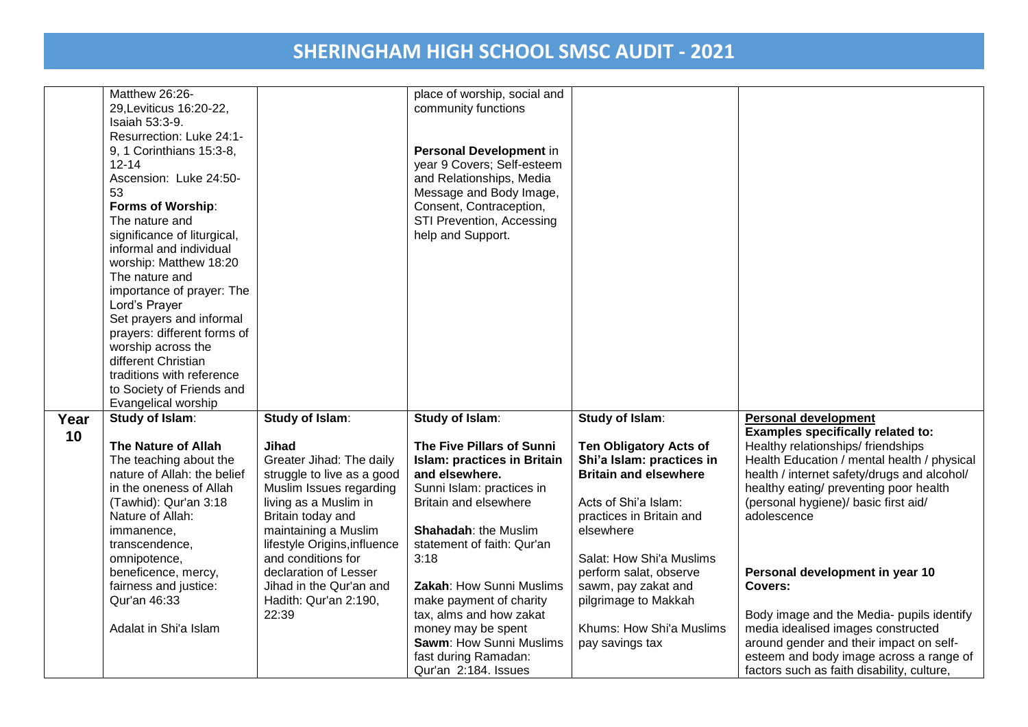|      | Matthew 26:26-              |                              | place of worship, social and       |                               |                                             |
|------|-----------------------------|------------------------------|------------------------------------|-------------------------------|---------------------------------------------|
|      | 29, Leviticus 16:20-22,     |                              | community functions                |                               |                                             |
|      | Isaiah 53:3-9.              |                              |                                    |                               |                                             |
|      | Resurrection: Luke 24:1-    |                              |                                    |                               |                                             |
|      | 9, 1 Corinthians 15:3-8,    |                              | Personal Development in            |                               |                                             |
|      |                             |                              |                                    |                               |                                             |
|      | $12 - 14$                   |                              | year 9 Covers; Self-esteem         |                               |                                             |
|      | Ascension: Luke 24:50-      |                              | and Relationships, Media           |                               |                                             |
|      | 53                          |                              | Message and Body Image,            |                               |                                             |
|      | Forms of Worship:           |                              | Consent, Contraception,            |                               |                                             |
|      | The nature and              |                              | STI Prevention, Accessing          |                               |                                             |
|      | significance of liturgical, |                              | help and Support.                  |                               |                                             |
|      | informal and individual     |                              |                                    |                               |                                             |
|      | worship: Matthew 18:20      |                              |                                    |                               |                                             |
|      | The nature and              |                              |                                    |                               |                                             |
|      |                             |                              |                                    |                               |                                             |
|      | importance of prayer: The   |                              |                                    |                               |                                             |
|      | Lord's Prayer               |                              |                                    |                               |                                             |
|      | Set prayers and informal    |                              |                                    |                               |                                             |
|      | prayers: different forms of |                              |                                    |                               |                                             |
|      | worship across the          |                              |                                    |                               |                                             |
|      | different Christian         |                              |                                    |                               |                                             |
|      | traditions with reference   |                              |                                    |                               |                                             |
|      |                             |                              |                                    |                               |                                             |
|      |                             |                              |                                    |                               |                                             |
|      | to Society of Friends and   |                              |                                    |                               |                                             |
|      | Evangelical worship         |                              |                                    |                               |                                             |
| Year | Study of Islam:             | Study of Islam:              | Study of Islam:                    | Study of Islam:               | <b>Personal development</b>                 |
| 10   |                             |                              |                                    |                               | Examples specifically related to:           |
|      | The Nature of Allah         | Jihad                        | The Five Pillars of Sunni          | <b>Ten Obligatory Acts of</b> | Healthy relationships/ friendships          |
|      | The teaching about the      | Greater Jihad: The daily     | <b>Islam: practices in Britain</b> | Shi'a Islam: practices in     | Health Education / mental health / physical |
|      | nature of Allah: the belief | struggle to live as a good   | and elsewhere.                     | <b>Britain and elsewhere</b>  | health / internet safety/drugs and alcohol/ |
|      | in the oneness of Allah     | Muslim Issues regarding      | Sunni Islam: practices in          |                               | healthy eating/ preventing poor health      |
|      | (Tawhid): Qur'an 3:18       | living as a Muslim in        | Britain and elsewhere              | Acts of Shi'a Islam:          | (personal hygiene)/ basic first aid/        |
|      | Nature of Allah:            | Britain today and            |                                    | practices in Britain and      | adolescence                                 |
|      |                             |                              | <b>Shahadah: the Muslim</b>        | elsewhere                     |                                             |
|      | immanence,                  | maintaining a Muslim         |                                    |                               |                                             |
|      | transcendence,              | lifestyle Origins, influence | statement of faith: Qur'an         |                               |                                             |
|      | omnipotence,                | and conditions for           | 3:18                               | Salat: How Shi'a Muslims      |                                             |
|      | beneficence, mercy,         | declaration of Lesser        |                                    | perform salat, observe        | Personal development in year 10             |
|      | fairness and justice:       | Jihad in the Qur'an and      | Zakah: How Sunni Muslims           | sawm, pay zakat and           | Covers:                                     |
|      | Qur'an 46:33                | Hadith: Qur'an 2:190,        | make payment of charity            | pilgrimage to Makkah          |                                             |
|      |                             | 22:39                        | tax, alms and how zakat            |                               | Body image and the Media- pupils identify   |
|      | Adalat in Shi'a Islam       |                              | money may be spent                 | Khums: How Shi'a Muslims      | media idealised images constructed          |
|      |                             |                              | <b>Sawm: How Sunni Muslims</b>     | pay savings tax               | around gender and their impact on self-     |
|      |                             |                              | fast during Ramadan:               |                               | esteem and body image across a range of     |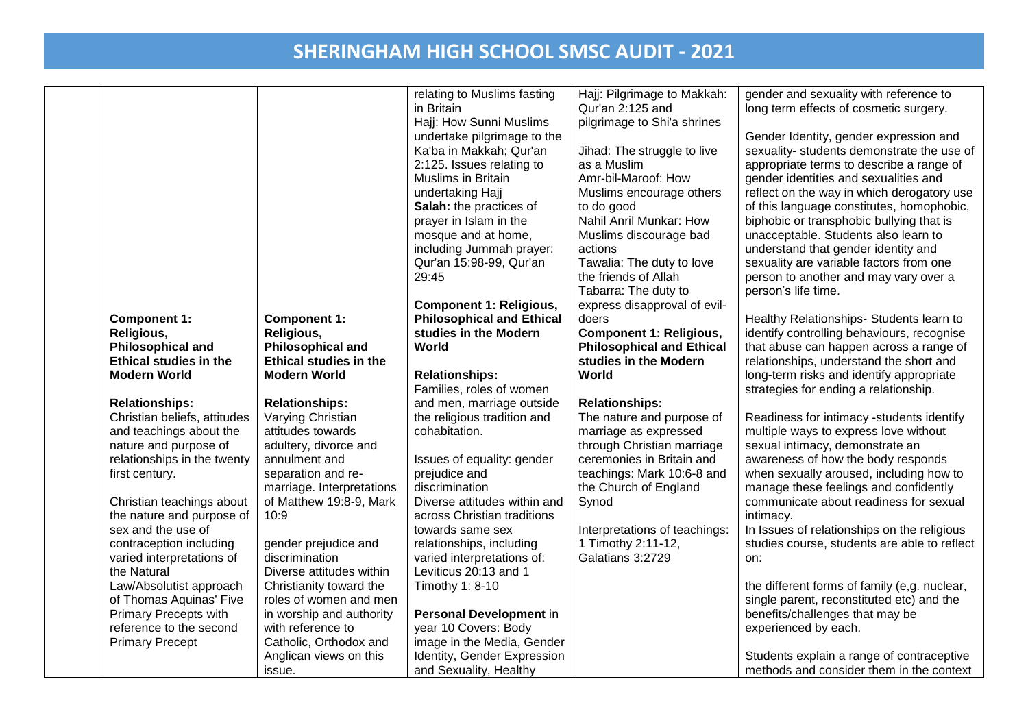| <b>Component 1:</b><br>Religious,<br><b>Philosophical and</b><br><b>Ethical studies in the</b><br><b>Modern World</b><br><b>Relationships:</b><br>Christian beliefs, attitudes<br>and teachings about the<br>nature and purpose of<br>relationships in the twenty<br>first century.<br>Christian teachings about<br>the nature and purpose of<br>sex and the use of<br>contraception including<br>varied interpretations of<br>the Natural<br>Law/Absolutist approach<br>of Thomas Aquinas' Five<br><b>Primary Precepts with</b><br>reference to the second | <b>Component 1:</b><br>Religious,<br><b>Philosophical and</b><br><b>Ethical studies in the</b><br><b>Modern World</b><br><b>Relationships:</b><br>Varying Christian<br>attitudes towards<br>adultery, divorce and<br>annulment and<br>separation and re-<br>marriage. Interpretations<br>of Matthew 19:8-9, Mark<br>10:9<br>gender prejudice and<br>discrimination<br>Diverse attitudes within<br>Christianity toward the<br>roles of women and men<br>in worship and authority<br>with reference to | relating to Muslims fasting<br>in Britain<br>Hajj: How Sunni Muslims<br>undertake pilgrimage to the<br>Ka'ba in Makkah; Qur'an<br>2:125. Issues relating to<br><b>Muslims in Britain</b><br>undertaking Hajj<br>Salah: the practices of<br>prayer in Islam in the<br>mosque and at home,<br>including Jummah prayer:<br>Qur'an 15:98-99, Qur'an<br>29:45<br><b>Component 1: Religious,</b><br><b>Philosophical and Ethical</b><br>studies in the Modern<br>World<br><b>Relationships:</b><br>Families, roles of women<br>and men, marriage outside<br>the religious tradition and<br>cohabitation.<br>Issues of equality: gender<br>prejudice and<br>discrimination<br>Diverse attitudes within and<br>across Christian traditions<br>towards same sex<br>relationships, including<br>varied interpretations of:<br>Leviticus 20:13 and 1<br>Timothy 1: 8-10<br>Personal Development in<br>year 10 Covers: Body | Hajj: Pilgrimage to Makkah:<br>Qur'an 2:125 and<br>pilgrimage to Shi'a shrines<br>Jihad: The struggle to live<br>as a Muslim<br>Amr-bil-Maroof: How<br>Muslims encourage others<br>to do good<br>Nahil Anril Munkar: How<br>Muslims discourage bad<br>actions<br>Tawalia: The duty to love<br>the friends of Allah<br>Tabarra: The duty to<br>express disapproval of evil-<br>doers<br><b>Component 1: Religious,</b><br><b>Philosophical and Ethical</b><br>studies in the Modern<br>World<br><b>Relationships:</b><br>The nature and purpose of<br>marriage as expressed<br>through Christian marriage<br>ceremonies in Britain and<br>teachings: Mark 10:6-8 and<br>the Church of England<br>Synod<br>Interpretations of teachings:<br>1 Timothy 2:11-12,<br>Galatians 3:2729 | gender and sexuality with reference to<br>long term effects of cosmetic surgery.<br>Gender Identity, gender expression and<br>sexuality- students demonstrate the use of<br>appropriate terms to describe a range of<br>gender identities and sexualities and<br>reflect on the way in which derogatory use<br>of this language constitutes, homophobic,<br>biphobic or transphobic bullying that is<br>unacceptable. Students also learn to<br>understand that gender identity and<br>sexuality are variable factors from one<br>person to another and may vary over a<br>person's life time.<br>Healthy Relationships- Students learn to<br>identify controlling behaviours, recognise<br>that abuse can happen across a range of<br>relationships, understand the short and<br>long-term risks and identify appropriate<br>strategies for ending a relationship.<br>Readiness for intimacy -students identify<br>multiple ways to express love without<br>sexual intimacy, demonstrate an<br>awareness of how the body responds<br>when sexually aroused, including how to<br>manage these feelings and confidently<br>communicate about readiness for sexual<br>intimacy.<br>In Issues of relationships on the religious<br>studies course, students are able to reflect<br>on:<br>the different forms of family (e,g. nuclear,<br>single parent, reconstituted etc) and the<br>benefits/challenges that may be<br>experienced by each. |
|-------------------------------------------------------------------------------------------------------------------------------------------------------------------------------------------------------------------------------------------------------------------------------------------------------------------------------------------------------------------------------------------------------------------------------------------------------------------------------------------------------------------------------------------------------------|------------------------------------------------------------------------------------------------------------------------------------------------------------------------------------------------------------------------------------------------------------------------------------------------------------------------------------------------------------------------------------------------------------------------------------------------------------------------------------------------------|-----------------------------------------------------------------------------------------------------------------------------------------------------------------------------------------------------------------------------------------------------------------------------------------------------------------------------------------------------------------------------------------------------------------------------------------------------------------------------------------------------------------------------------------------------------------------------------------------------------------------------------------------------------------------------------------------------------------------------------------------------------------------------------------------------------------------------------------------------------------------------------------------------------------|----------------------------------------------------------------------------------------------------------------------------------------------------------------------------------------------------------------------------------------------------------------------------------------------------------------------------------------------------------------------------------------------------------------------------------------------------------------------------------------------------------------------------------------------------------------------------------------------------------------------------------------------------------------------------------------------------------------------------------------------------------------------------------|---------------------------------------------------------------------------------------------------------------------------------------------------------------------------------------------------------------------------------------------------------------------------------------------------------------------------------------------------------------------------------------------------------------------------------------------------------------------------------------------------------------------------------------------------------------------------------------------------------------------------------------------------------------------------------------------------------------------------------------------------------------------------------------------------------------------------------------------------------------------------------------------------------------------------------------------------------------------------------------------------------------------------------------------------------------------------------------------------------------------------------------------------------------------------------------------------------------------------------------------------------------------------------------------------------------------------------------------------------------------------------------------------------------------------------------------|
| <b>Primary Precept</b>                                                                                                                                                                                                                                                                                                                                                                                                                                                                                                                                      | Catholic, Orthodox and<br>Anglican views on this                                                                                                                                                                                                                                                                                                                                                                                                                                                     | image in the Media, Gender<br>Identity, Gender Expression                                                                                                                                                                                                                                                                                                                                                                                                                                                                                                                                                                                                                                                                                                                                                                                                                                                       |                                                                                                                                                                                                                                                                                                                                                                                                                                                                                                                                                                                                                                                                                                                                                                                  | Students explain a range of contraceptive                                                                                                                                                                                                                                                                                                                                                                                                                                                                                                                                                                                                                                                                                                                                                                                                                                                                                                                                                                                                                                                                                                                                                                                                                                                                                                                                                                                                   |
|                                                                                                                                                                                                                                                                                                                                                                                                                                                                                                                                                             | issue.                                                                                                                                                                                                                                                                                                                                                                                                                                                                                               | and Sexuality, Healthy                                                                                                                                                                                                                                                                                                                                                                                                                                                                                                                                                                                                                                                                                                                                                                                                                                                                                          |                                                                                                                                                                                                                                                                                                                                                                                                                                                                                                                                                                                                                                                                                                                                                                                  | methods and consider them in the context                                                                                                                                                                                                                                                                                                                                                                                                                                                                                                                                                                                                                                                                                                                                                                                                                                                                                                                                                                                                                                                                                                                                                                                                                                                                                                                                                                                                    |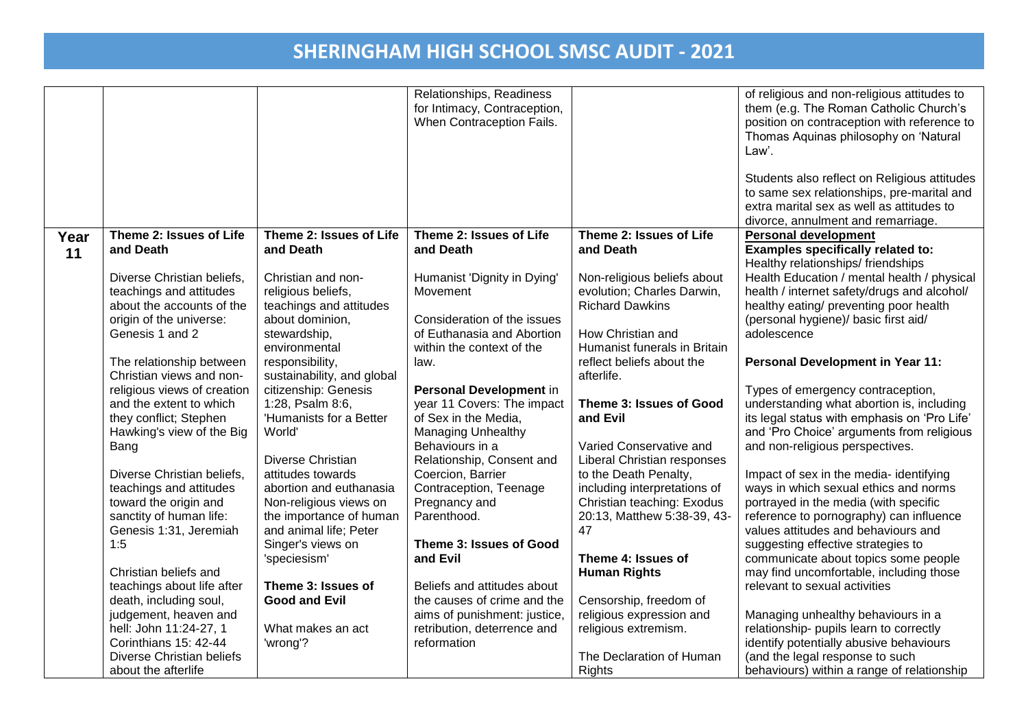|      |                             |                            | Relationships, Readiness     |                                                           | of religious and non-religious attitudes to  |
|------|-----------------------------|----------------------------|------------------------------|-----------------------------------------------------------|----------------------------------------------|
|      |                             |                            | for Intimacy, Contraception, |                                                           | them (e.g. The Roman Catholic Church's       |
|      |                             |                            | When Contraception Fails.    |                                                           | position on contraception with reference to  |
|      |                             |                            |                              |                                                           | Thomas Aquinas philosophy on 'Natural        |
|      |                             |                            |                              |                                                           | Law'.                                        |
|      |                             |                            |                              |                                                           |                                              |
|      |                             |                            |                              |                                                           | Students also reflect on Religious attitudes |
|      |                             |                            |                              |                                                           | to same sex relationships, pre-marital and   |
|      |                             |                            |                              |                                                           | extra marital sex as well as attitudes to    |
|      |                             |                            |                              |                                                           | divorce, annulment and remarriage.           |
|      | Theme 2: Issues of Life     | Theme 2: Issues of Life    | Theme 2: Issues of Life      | Theme 2: Issues of Life                                   | <b>Personal development</b>                  |
| Year | and Death                   | and Death                  | and Death                    | and Death                                                 | Examples specifically related to:            |
| 11   |                             |                            |                              |                                                           | Healthy relationships/friendships            |
|      |                             | Christian and non-         |                              |                                                           | Health Education / mental health / physical  |
|      | Diverse Christian beliefs,  |                            | Humanist 'Dignity in Dying'  | Non-religious beliefs about<br>evolution; Charles Darwin, |                                              |
|      | teachings and attitudes     | religious beliefs,         | Movement                     |                                                           | health / internet safety/drugs and alcohol/  |
|      | about the accounts of the   | teachings and attitudes    |                              | <b>Richard Dawkins</b>                                    | healthy eating/ preventing poor health       |
|      | origin of the universe:     | about dominion,            | Consideration of the issues  |                                                           | (personal hygiene)/ basic first aid/         |
|      | Genesis 1 and 2             | stewardship,               | of Euthanasia and Abortion   | How Christian and                                         | adolescence                                  |
|      |                             | environmental              | within the context of the    | Humanist funerals in Britain                              |                                              |
|      | The relationship between    | responsibility,            | law.                         | reflect beliefs about the                                 | <b>Personal Development in Year 11:</b>      |
|      | Christian views and non-    | sustainability, and global |                              | afterlife.                                                |                                              |
|      | religious views of creation | citizenship: Genesis       | Personal Development in      |                                                           | Types of emergency contraception,            |
|      | and the extent to which     | 1:28, Psalm 8:6,           | year 11 Covers: The impact   | Theme 3: Issues of Good                                   | understanding what abortion is, including    |
|      | they conflict; Stephen      | 'Humanists for a Better    | of Sex in the Media.         | and Evil                                                  | its legal status with emphasis on 'Pro Life' |
|      | Hawking's view of the Big   | World'                     | <b>Managing Unhealthy</b>    |                                                           | and 'Pro Choice' arguments from religious    |
|      | Bang                        |                            | Behaviours in a              | Varied Conservative and                                   | and non-religious perspectives.              |
|      |                             | Diverse Christian          | Relationship, Consent and    | Liberal Christian responses                               |                                              |
|      | Diverse Christian beliefs,  | attitudes towards          | Coercion, Barrier            | to the Death Penalty,                                     | Impact of sex in the media- identifying      |
|      | teachings and attitudes     | abortion and euthanasia    | Contraception, Teenage       | including interpretations of                              | ways in which sexual ethics and norms        |
|      | toward the origin and       | Non-religious views on     | Pregnancy and                | Christian teaching: Exodus                                | portrayed in the media (with specific        |
|      | sanctity of human life:     | the importance of human    | Parenthood.                  | 20:13, Matthew 5:38-39, 43-                               | reference to pornography) can influence      |
|      | Genesis 1:31, Jeremiah      | and animal life; Peter     |                              | 47                                                        | values attitudes and behaviours and          |
|      | 1:5                         | Singer's views on          | Theme 3: Issues of Good      |                                                           | suggesting effective strategies to           |
|      |                             | 'speciesism'               | and Evil                     | Theme 4: Issues of                                        | communicate about topics some people         |
|      | Christian beliefs and       |                            |                              | <b>Human Rights</b>                                       | may find uncomfortable, including those      |
|      | teachings about life after  | Theme 3: Issues of         | Beliefs and attitudes about  |                                                           | relevant to sexual activities                |
|      | death, including soul,      | <b>Good and Evil</b>       | the causes of crime and the  | Censorship, freedom of                                    |                                              |
|      | judgement, heaven and       |                            | aims of punishment: justice, | religious expression and                                  | Managing unhealthy behaviours in a           |
|      | hell: John 11:24-27, 1      | What makes an act          | retribution, deterrence and  | religious extremism.                                      | relationship- pupils learn to correctly      |
|      | Corinthians 15: 42-44       | 'wrong'?                   | reformation                  |                                                           | identify potentially abusive behaviours      |
|      | Diverse Christian beliefs   |                            |                              | The Declaration of Human                                  | (and the legal response to such              |
|      |                             |                            |                              |                                                           |                                              |
|      | about the afterlife         |                            |                              | <b>Rights</b>                                             | behaviours) within a range of relationship   |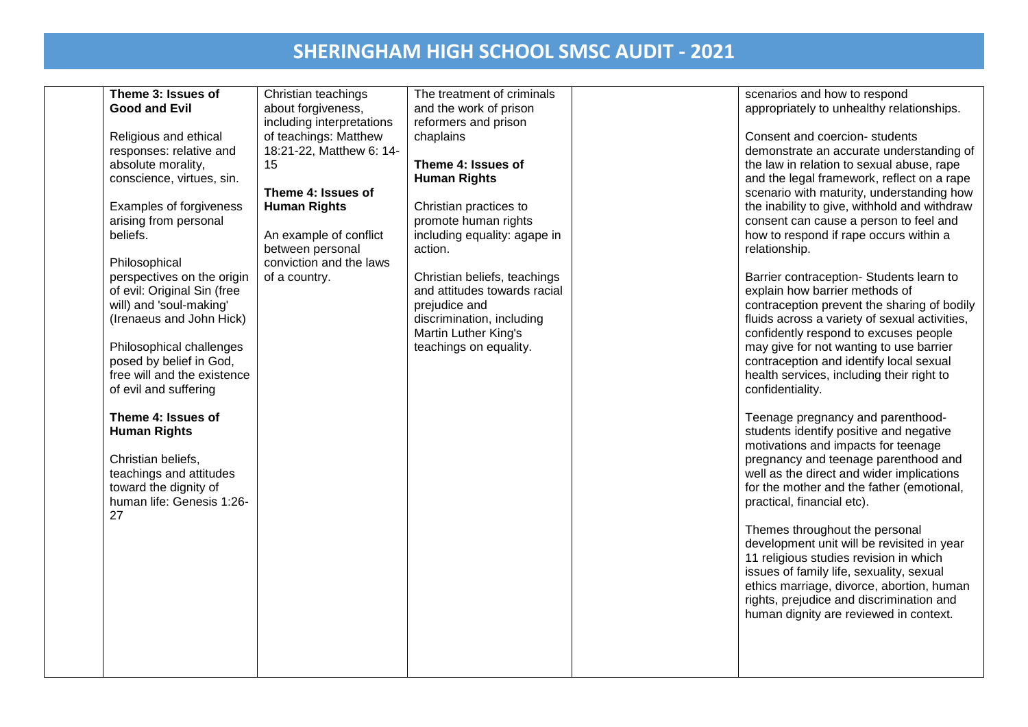| Theme 3: Issues of          | Christian teachings       | The treatment of criminals   | scenarios and how to respond                  |
|-----------------------------|---------------------------|------------------------------|-----------------------------------------------|
| <b>Good and Evil</b>        | about forgiveness,        | and the work of prison       | appropriately to unhealthy relationships.     |
|                             | including interpretations | reformers and prison         |                                               |
|                             |                           |                              |                                               |
| Religious and ethical       | of teachings: Matthew     | chaplains                    | Consent and coercion- students                |
| responses: relative and     | 18:21-22, Matthew 6: 14-  |                              | demonstrate an accurate understanding of      |
| absolute morality,          | 15                        | Theme 4: Issues of           | the law in relation to sexual abuse, rape     |
| conscience, virtues, sin.   |                           | <b>Human Rights</b>          | and the legal framework, reflect on a rape    |
|                             | Theme 4: Issues of        |                              | scenario with maturity, understanding how     |
| Examples of forgiveness     | <b>Human Rights</b>       | Christian practices to       | the inability to give, withhold and withdraw  |
| arising from personal       |                           | promote human rights         | consent can cause a person to feel and        |
| beliefs.                    | An example of conflict    | including equality: agape in | how to respond if rape occurs within a        |
|                             | between personal          | action.                      | relationship.                                 |
| Philosophical               | conviction and the laws   |                              |                                               |
| perspectives on the origin  | of a country.             | Christian beliefs, teachings | Barrier contraception- Students learn to      |
| of evil: Original Sin (free |                           | and attitudes towards racial | explain how barrier methods of                |
| will) and 'soul-making'     |                           | prejudice and                | contraception prevent the sharing of bodily   |
| (Irenaeus and John Hick)    |                           | discrimination, including    | fluids across a variety of sexual activities, |
|                             |                           | Martin Luther King's         | confidently respond to excuses people         |
| Philosophical challenges    |                           | teachings on equality.       | may give for not wanting to use barrier       |
| posed by belief in God,     |                           |                              | contraception and identify local sexual       |
| free will and the existence |                           |                              | health services, including their right to     |
| of evil and suffering       |                           |                              | confidentiality.                              |
|                             |                           |                              |                                               |
| Theme 4: Issues of          |                           |                              | Teenage pregnancy and parenthood-             |
| <b>Human Rights</b>         |                           |                              | students identify positive and negative       |
|                             |                           |                              | motivations and impacts for teenage           |
| Christian beliefs,          |                           |                              | pregnancy and teenage parenthood and          |
| teachings and attitudes     |                           |                              | well as the direct and wider implications     |
| toward the dignity of       |                           |                              | for the mother and the father (emotional,     |
| human life: Genesis 1:26-   |                           |                              | practical, financial etc).                    |
| 27                          |                           |                              |                                               |
|                             |                           |                              | Themes throughout the personal                |
|                             |                           |                              | development unit will be revisited in year    |
|                             |                           |                              | 11 religious studies revision in which        |
|                             |                           |                              | issues of family life, sexuality, sexual      |
|                             |                           |                              | ethics marriage, divorce, abortion, human     |
|                             |                           |                              | rights, prejudice and discrimination and      |
|                             |                           |                              |                                               |
|                             |                           |                              | human dignity are reviewed in context.        |
|                             |                           |                              |                                               |
|                             |                           |                              |                                               |
|                             |                           |                              |                                               |
|                             |                           |                              |                                               |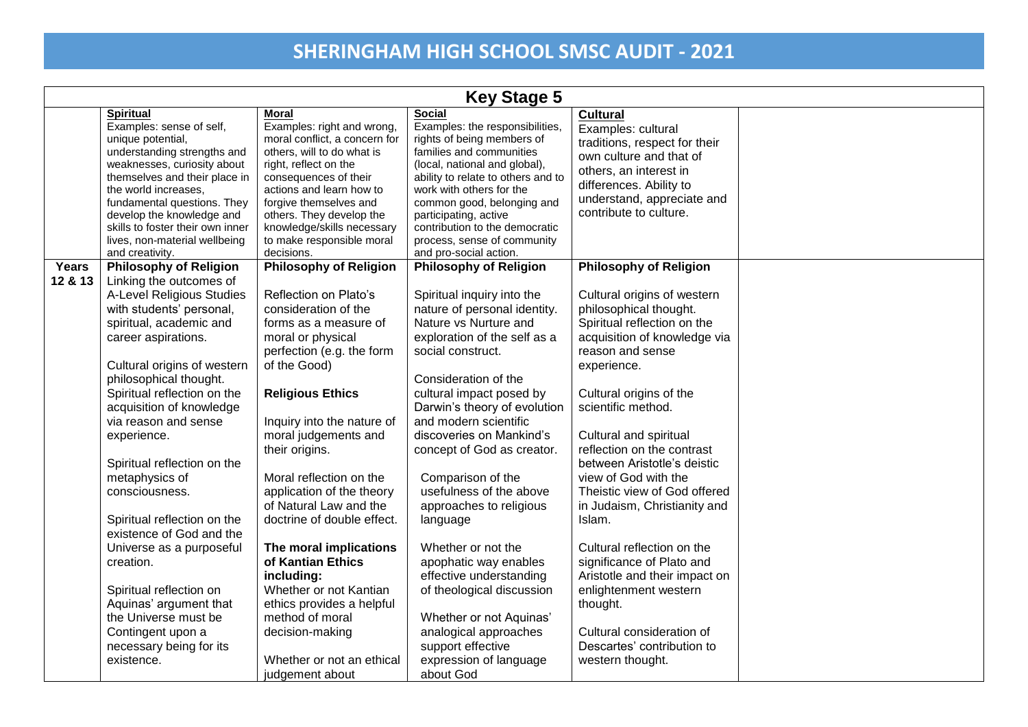|         | <b>Key Stage 5</b>                                       |                                                    |                                                     |                               |  |  |
|---------|----------------------------------------------------------|----------------------------------------------------|-----------------------------------------------------|-------------------------------|--|--|
|         | <b>Spiritual</b>                                         | Moral                                              | <b>Social</b>                                       | <b>Cultural</b>               |  |  |
|         | Examples: sense of self,                                 | Examples: right and wrong,                         | Examples: the responsibilities,                     | Examples: cultural            |  |  |
|         | unique potential,                                        | moral conflict, a concern for                      | rights of being members of                          | traditions, respect for their |  |  |
|         | understanding strengths and                              | others, will to do what is                         | families and communities                            | own culture and that of       |  |  |
|         | weaknesses, curiosity about                              | right, reflect on the                              | (local, national and global),                       | others, an interest in        |  |  |
|         | themselves and their place in                            | consequences of their                              | ability to relate to others and to                  | differences. Ability to       |  |  |
|         | the world increases.                                     | actions and learn how to                           | work with others for the                            | understand, appreciate and    |  |  |
|         | fundamental questions. They<br>develop the knowledge and | forgive themselves and<br>others. They develop the | common good, belonging and<br>participating, active | contribute to culture.        |  |  |
|         | skills to foster their own inner                         | knowledge/skills necessary                         | contribution to the democratic                      |                               |  |  |
|         | lives, non-material wellbeing                            | to make responsible moral                          | process, sense of community                         |                               |  |  |
|         | and creativity.                                          | decisions.                                         | and pro-social action.                              |                               |  |  |
| Years   | <b>Philosophy of Religion</b>                            | <b>Philosophy of Religion</b>                      | <b>Philosophy of Religion</b>                       | <b>Philosophy of Religion</b> |  |  |
| 12 & 13 | Linking the outcomes of                                  |                                                    |                                                     |                               |  |  |
|         | A-Level Religious Studies                                | Reflection on Plato's                              | Spiritual inquiry into the                          | Cultural origins of western   |  |  |
|         | with students' personal,                                 | consideration of the                               | nature of personal identity.                        | philosophical thought.        |  |  |
|         | spiritual, academic and                                  | forms as a measure of                              | Nature vs Nurture and                               | Spiritual reflection on the   |  |  |
|         | career aspirations.                                      | moral or physical                                  | exploration of the self as a                        | acquisition of knowledge via  |  |  |
|         |                                                          | perfection (e.g. the form                          | social construct.                                   | reason and sense              |  |  |
|         | Cultural origins of western                              | of the Good)                                       |                                                     | experience.                   |  |  |
|         | philosophical thought.                                   |                                                    | Consideration of the                                |                               |  |  |
|         | Spiritual reflection on the                              | <b>Religious Ethics</b>                            | cultural impact posed by                            | Cultural origins of the       |  |  |
|         | acquisition of knowledge                                 |                                                    | Darwin's theory of evolution                        | scientific method.            |  |  |
|         | via reason and sense                                     | Inquiry into the nature of                         | and modern scientific                               |                               |  |  |
|         | experience.                                              | moral judgements and                               | discoveries on Mankind's                            | Cultural and spiritual        |  |  |
|         |                                                          | their origins.                                     | concept of God as creator.                          | reflection on the contrast    |  |  |
|         | Spiritual reflection on the                              |                                                    |                                                     | between Aristotle's deistic   |  |  |
|         | metaphysics of                                           | Moral reflection on the                            | Comparison of the                                   | view of God with the          |  |  |
|         | consciousness.                                           | application of the theory                          | usefulness of the above                             | Theistic view of God offered  |  |  |
|         |                                                          | of Natural Law and the                             | approaches to religious                             | in Judaism, Christianity and  |  |  |
|         | Spiritual reflection on the                              | doctrine of double effect.                         |                                                     | Islam.                        |  |  |
|         | existence of God and the                                 |                                                    | language                                            |                               |  |  |
|         | Universe as a purposeful                                 | The moral implications                             | Whether or not the                                  | Cultural reflection on the    |  |  |
|         |                                                          | of Kantian Ethics                                  |                                                     |                               |  |  |
|         | creation.                                                |                                                    | apophatic way enables                               | significance of Plato and     |  |  |
|         |                                                          | including:                                         | effective understanding                             | Aristotle and their impact on |  |  |
|         | Spiritual reflection on                                  | Whether or not Kantian                             | of theological discussion                           | enlightenment western         |  |  |
|         | Aquinas' argument that                                   | ethics provides a helpful                          |                                                     | thought.                      |  |  |
|         | the Universe must be                                     | method of moral                                    | Whether or not Aquinas'                             |                               |  |  |
|         | Contingent upon a                                        | decision-making                                    | analogical approaches                               | Cultural consideration of     |  |  |
|         | necessary being for its                                  |                                                    | support effective                                   | Descartes' contribution to    |  |  |
|         | existence.                                               | Whether or not an ethical                          | expression of language                              | western thought.              |  |  |
|         |                                                          | judgement about                                    | about God                                           |                               |  |  |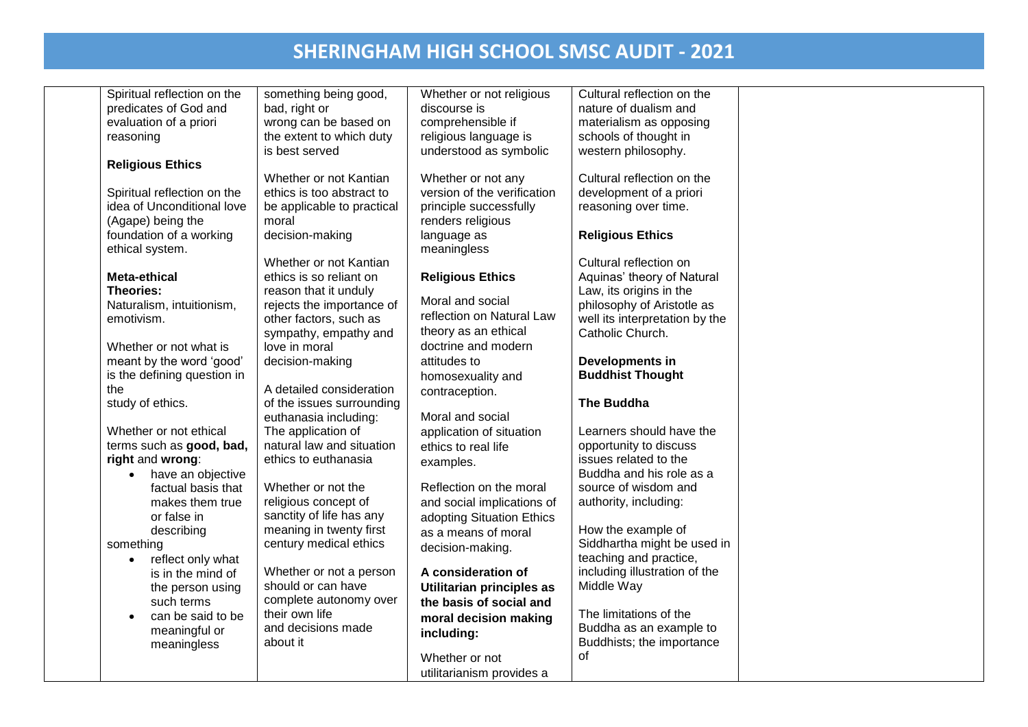| Spiritual reflection on the    | something being good,      | Whether or not religious    | Cultural reflection on the     |  |
|--------------------------------|----------------------------|-----------------------------|--------------------------------|--|
| predicates of God and          | bad, right or              | discourse is                | nature of dualism and          |  |
| evaluation of a priori         | wrong can be based on      | comprehensible if           | materialism as opposing        |  |
| reasoning                      | the extent to which duty   | religious language is       | schools of thought in          |  |
|                                | is best served             | understood as symbolic      | western philosophy.            |  |
| <b>Religious Ethics</b>        |                            |                             |                                |  |
|                                | Whether or not Kantian     | Whether or not any          | Cultural reflection on the     |  |
| Spiritual reflection on the    | ethics is too abstract to  | version of the verification | development of a priori        |  |
| idea of Unconditional love     | be applicable to practical | principle successfully      | reasoning over time.           |  |
| (Agape) being the              | moral                      | renders religious           |                                |  |
| foundation of a working        | decision-making            | language as                 | <b>Religious Ethics</b>        |  |
| ethical system.                |                            | meaningless                 |                                |  |
|                                | Whether or not Kantian     |                             | Cultural reflection on         |  |
| <b>Meta-ethical</b>            | ethics is so reliant on    | <b>Religious Ethics</b>     | Aquinas' theory of Natural     |  |
| Theories:                      | reason that it unduly      |                             | Law, its origins in the        |  |
| Naturalism, intuitionism,      | rejects the importance of  | Moral and social            | philosophy of Aristotle as     |  |
| emotivism.                     | other factors, such as     | reflection on Natural Law   | well its interpretation by the |  |
|                                | sympathy, empathy and      | theory as an ethical        | Catholic Church.               |  |
| Whether or not what is         | love in moral              | doctrine and modern         |                                |  |
| meant by the word 'good'       | decision-making            | attitudes to                | Developments in                |  |
| is the defining question in    |                            | homosexuality and           | <b>Buddhist Thought</b>        |  |
| the                            | A detailed consideration   | contraception.              |                                |  |
| study of ethics.               | of the issues surrounding  |                             | The Buddha                     |  |
|                                | euthanasia including:      | Moral and social            |                                |  |
| Whether or not ethical         | The application of         | application of situation    | Learners should have the       |  |
| terms such as good, bad,       | natural law and situation  | ethics to real life         | opportunity to discuss         |  |
| right and wrong:               | ethics to euthanasia       | examples.                   | issues related to the          |  |
| have an objective              |                            |                             | Buddha and his role as a       |  |
| factual basis that             | Whether or not the         | Reflection on the moral     | source of wisdom and           |  |
| makes them true                | religious concept of       | and social implications of  | authority, including:          |  |
| or false in                    | sanctity of life has any   | adopting Situation Ethics   |                                |  |
| describing                     | meaning in twenty first    | as a means of moral         | How the example of             |  |
| something                      | century medical ethics     | decision-making.            | Siddhartha might be used in    |  |
| reflect only what<br>$\bullet$ |                            |                             | teaching and practice,         |  |
| is in the mind of              | Whether or not a person    | A consideration of          | including illustration of the  |  |
| the person using               | should or can have         | Utilitarian principles as   | Middle Way                     |  |
| such terms                     | complete autonomy over     | the basis of social and     |                                |  |
| can be said to be              | their own life             | moral decision making       | The limitations of the         |  |
| meaningful or                  | and decisions made         | including:                  | Buddha as an example to        |  |
| meaningless                    | about it                   |                             | Buddhists; the importance      |  |
|                                |                            | Whether or not              | of                             |  |
|                                |                            | utilitarianism provides a   |                                |  |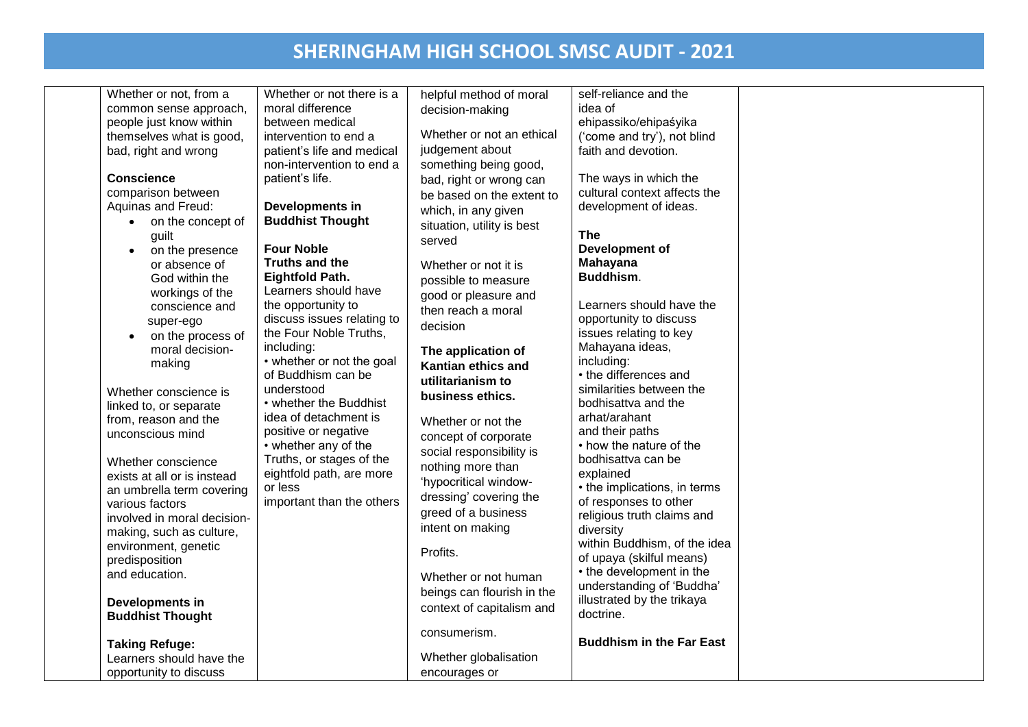| Whether or not, from a<br>common sense approach,<br>people just know within<br>themselves what is good,<br>bad, right and wrong<br><b>Conscience</b><br>comparison between<br>Aquinas and Freud:<br>• on the concept of<br>guilt<br>on the presence<br>$\bullet$<br>or absence of<br>God within the<br>workings of the<br>conscience and<br>super-ego<br>on the process of<br>moral decision-<br>making<br>Whether conscience is<br>linked to, or separate<br>from, reason and the<br>unconscious mind<br>Whether conscience<br>exists at all or is instead<br>an umbrella term covering<br>various factors<br>involved in moral decision-<br>making, such as culture,<br>environment, genetic<br>predisposition<br>and education.<br>Developments in<br><b>Buddhist Thought</b><br><b>Taking Refuge:</b> | Whether or not there is a<br>moral difference<br>between medical<br>intervention to end a<br>patient's life and medical<br>non-intervention to end a<br>patient's life.<br>Developments in<br><b>Buddhist Thought</b><br><b>Four Noble</b><br>Truths and the<br><b>Eightfold Path.</b><br>Learners should have<br>the opportunity to<br>discuss issues relating to<br>the Four Noble Truths,<br>including:<br>• whether or not the goal<br>of Buddhism can be<br>understood<br>• whether the Buddhist<br>idea of detachment is<br>positive or negative<br>• whether any of the<br>Truths, or stages of the<br>eightfold path, are more<br>or less<br>important than the others | helpful method of moral<br>decision-making<br>Whether or not an ethical<br>judgement about<br>something being good,<br>bad, right or wrong can<br>be based on the extent to<br>which, in any given<br>situation, utility is best<br>served<br>Whether or not it is<br>possible to measure<br>good or pleasure and<br>then reach a moral<br>decision<br>The application of<br>Kantian ethics and<br>utilitarianism to<br>business ethics.<br>Whether or not the<br>concept of corporate<br>social responsibility is<br>nothing more than<br>'hypocritical window-<br>dressing' covering the<br>greed of a business<br>intent on making<br>Profits.<br>Whether or not human<br>beings can flourish in the<br>context of capitalism and<br>consumerism. | self-reliance and the<br>idea of<br>ehipassiko/ehipaśyika<br>('come and try'), not blind<br>faith and devotion.<br>The ways in which the<br>cultural context affects the<br>development of ideas.<br><b>The</b><br>Development of<br><b>Mahayana</b><br>Buddhism.<br>Learners should have the<br>opportunity to discuss<br>issues relating to key<br>Mahayana ideas,<br>including:<br>• the differences and<br>similarities between the<br>bodhisattva and the<br>arhat/arahant<br>and their paths<br>• how the nature of the<br>bodhisattva can be<br>explained<br>• the implications, in terms<br>of responses to other<br>religious truth claims and<br>diversity<br>within Buddhism, of the idea<br>of upaya (skilful means)<br>• the development in the<br>understanding of 'Buddha'<br>illustrated by the trikaya<br>doctrine.<br><b>Buddhism in the Far East</b> |  |
|-----------------------------------------------------------------------------------------------------------------------------------------------------------------------------------------------------------------------------------------------------------------------------------------------------------------------------------------------------------------------------------------------------------------------------------------------------------------------------------------------------------------------------------------------------------------------------------------------------------------------------------------------------------------------------------------------------------------------------------------------------------------------------------------------------------|--------------------------------------------------------------------------------------------------------------------------------------------------------------------------------------------------------------------------------------------------------------------------------------------------------------------------------------------------------------------------------------------------------------------------------------------------------------------------------------------------------------------------------------------------------------------------------------------------------------------------------------------------------------------------------|------------------------------------------------------------------------------------------------------------------------------------------------------------------------------------------------------------------------------------------------------------------------------------------------------------------------------------------------------------------------------------------------------------------------------------------------------------------------------------------------------------------------------------------------------------------------------------------------------------------------------------------------------------------------------------------------------------------------------------------------------|-------------------------------------------------------------------------------------------------------------------------------------------------------------------------------------------------------------------------------------------------------------------------------------------------------------------------------------------------------------------------------------------------------------------------------------------------------------------------------------------------------------------------------------------------------------------------------------------------------------------------------------------------------------------------------------------------------------------------------------------------------------------------------------------------------------------------------------------------------------------------|--|
|                                                                                                                                                                                                                                                                                                                                                                                                                                                                                                                                                                                                                                                                                                                                                                                                           |                                                                                                                                                                                                                                                                                                                                                                                                                                                                                                                                                                                                                                                                                |                                                                                                                                                                                                                                                                                                                                                                                                                                                                                                                                                                                                                                                                                                                                                      |                                                                                                                                                                                                                                                                                                                                                                                                                                                                                                                                                                                                                                                                                                                                                                                                                                                                         |  |
| Learners should have the<br>opportunity to discuss                                                                                                                                                                                                                                                                                                                                                                                                                                                                                                                                                                                                                                                                                                                                                        |                                                                                                                                                                                                                                                                                                                                                                                                                                                                                                                                                                                                                                                                                | Whether globalisation<br>encourages or                                                                                                                                                                                                                                                                                                                                                                                                                                                                                                                                                                                                                                                                                                               |                                                                                                                                                                                                                                                                                                                                                                                                                                                                                                                                                                                                                                                                                                                                                                                                                                                                         |  |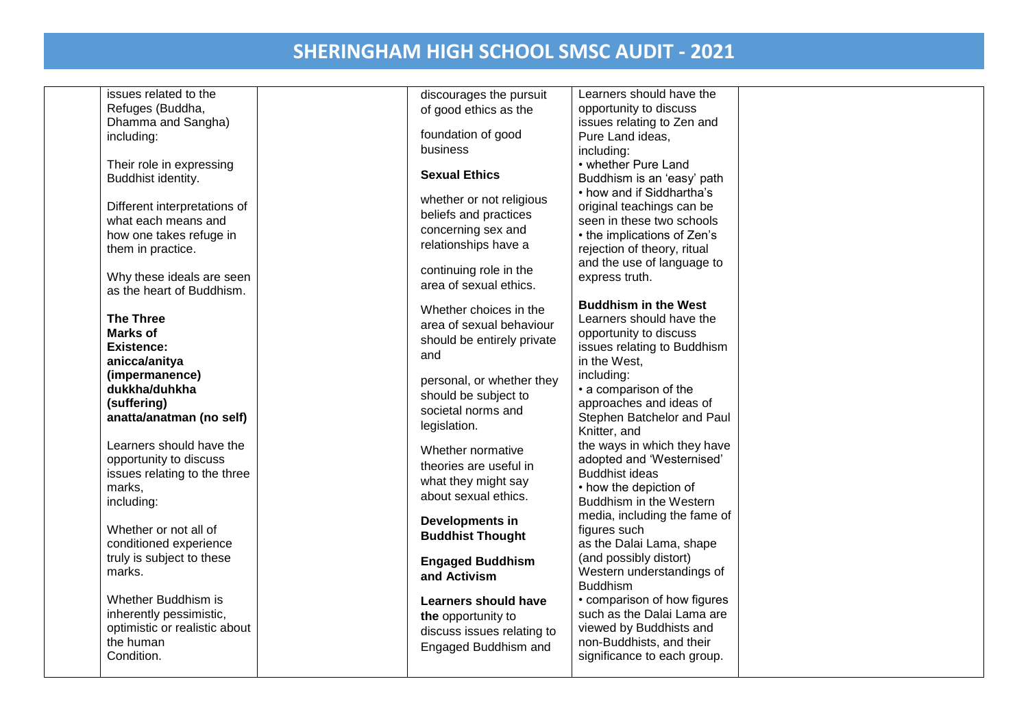| issues related to the           | discourages the pursuit    | Learners should have the                    |  |
|---------------------------------|----------------------------|---------------------------------------------|--|
| Refuges (Buddha,                | of good ethics as the      | opportunity to discuss                      |  |
| Dhamma and Sangha)              |                            | issues relating to Zen and                  |  |
| including:                      | foundation of good         | Pure Land ideas,                            |  |
|                                 | business                   | including:                                  |  |
| Their role in expressing        | <b>Sexual Ethics</b>       | • whether Pure Land                         |  |
| Buddhist identity.              |                            | Buddhism is an 'easy' path                  |  |
|                                 | whether or not religious   | • how and if Siddhartha's                   |  |
| Different interpretations of    | beliefs and practices      | original teachings can be                   |  |
| what each means and             | concerning sex and         | seen in these two schools                   |  |
| how one takes refuge in         | relationships have a       | • the implications of Zen's                 |  |
| them in practice.               |                            | rejection of theory, ritual                 |  |
|                                 | continuing role in the     | and the use of language to                  |  |
| Why these ideals are seen       | area of sexual ethics.     | express truth.                              |  |
| as the heart of Buddhism.       |                            |                                             |  |
|                                 | Whether choices in the     | <b>Buddhism in the West</b>                 |  |
| <b>The Three</b>                | area of sexual behaviour   | Learners should have the                    |  |
| <b>Marks of</b>                 | should be entirely private | opportunity to discuss                      |  |
| <b>Existence:</b>               | and                        | issues relating to Buddhism<br>in the West, |  |
| anicca/anitya<br>(impermanence) |                            | including:                                  |  |
| dukkha/duhkha                   | personal, or whether they  | • a comparison of the                       |  |
| (suffering)                     | should be subject to       | approaches and ideas of                     |  |
| anatta/anatman (no self)        | societal norms and         | Stephen Batchelor and Paul                  |  |
|                                 | legislation.               | Knitter, and                                |  |
| Learners should have the        |                            | the ways in which they have                 |  |
| opportunity to discuss          | Whether normative          | adopted and 'Westernised'                   |  |
| issues relating to the three    | theories are useful in     | <b>Buddhist ideas</b>                       |  |
| marks,                          | what they might say        | • how the depiction of                      |  |
| including:                      | about sexual ethics.       | Buddhism in the Western                     |  |
|                                 |                            | media, including the fame of                |  |
| Whether or not all of           | Developments in            | figures such                                |  |
| conditioned experience          | <b>Buddhist Thought</b>    | as the Dalai Lama, shape                    |  |
| truly is subject to these       | <b>Engaged Buddhism</b>    | (and possibly distort)                      |  |
| marks.                          | and Activism               | Western understandings of                   |  |
|                                 |                            | <b>Buddhism</b>                             |  |
| Whether Buddhism is             | Learners should have       | • comparison of how figures                 |  |
| inherently pessimistic,         | the opportunity to         | such as the Dalai Lama are                  |  |
| optimistic or realistic about   | discuss issues relating to | viewed by Buddhists and                     |  |
| the human                       | Engaged Buddhism and       | non-Buddhists, and their                    |  |
| Condition.                      |                            | significance to each group.                 |  |
|                                 |                            |                                             |  |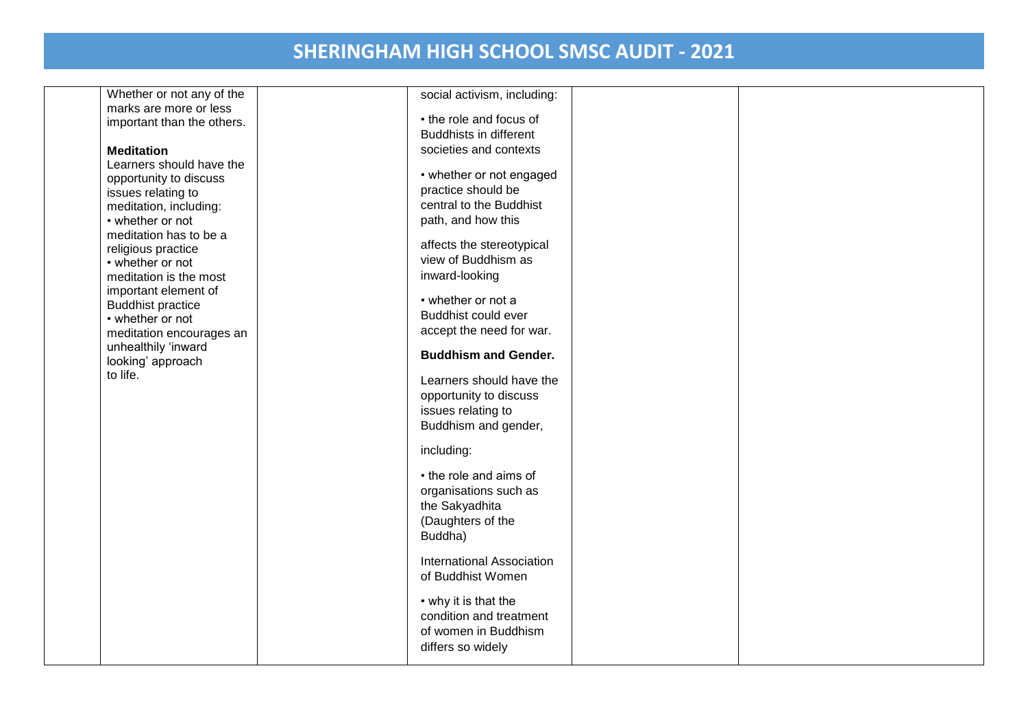Whether or not any of the marks are more or less important than the others.

#### **Meditation**

Learners should have the opportunity to discuss issues relating to meditation, including: • whether or not meditation has to be a religious practice • whether or not meditation is the most important element of Buddhist practice • whether or not meditation encourages an unhealthily 'inward looking' approach to life.

| social activism, including:                                                                       |  |
|---------------------------------------------------------------------------------------------------|--|
| • the role and focus of<br><b>Buddhists in different</b>                                          |  |
| societies and contexts                                                                            |  |
| • whether or not engaged<br>practice should be<br>central to the Buddhist<br>path, and how this   |  |
| affects the stereotypical<br>view of Buddhism as<br>inward-looking                                |  |
| • whether or not a<br>Buddhist could ever<br>accept the need for war.                             |  |
| <b>Buddhism and Gender.</b>                                                                       |  |
| Learners should have the<br>opportunity to discuss<br>issues relating to<br>Buddhism and gender,  |  |
| including:                                                                                        |  |
| • the role and aims of<br>organisations such as<br>the Sakyadhita<br>(Daughters of the<br>Buddha) |  |
| <b>International Association</b><br>of Buddhist Women                                             |  |
| • why it is that the<br>condition and treatment<br>of women in Buddhism<br>differs so widely      |  |
|                                                                                                   |  |